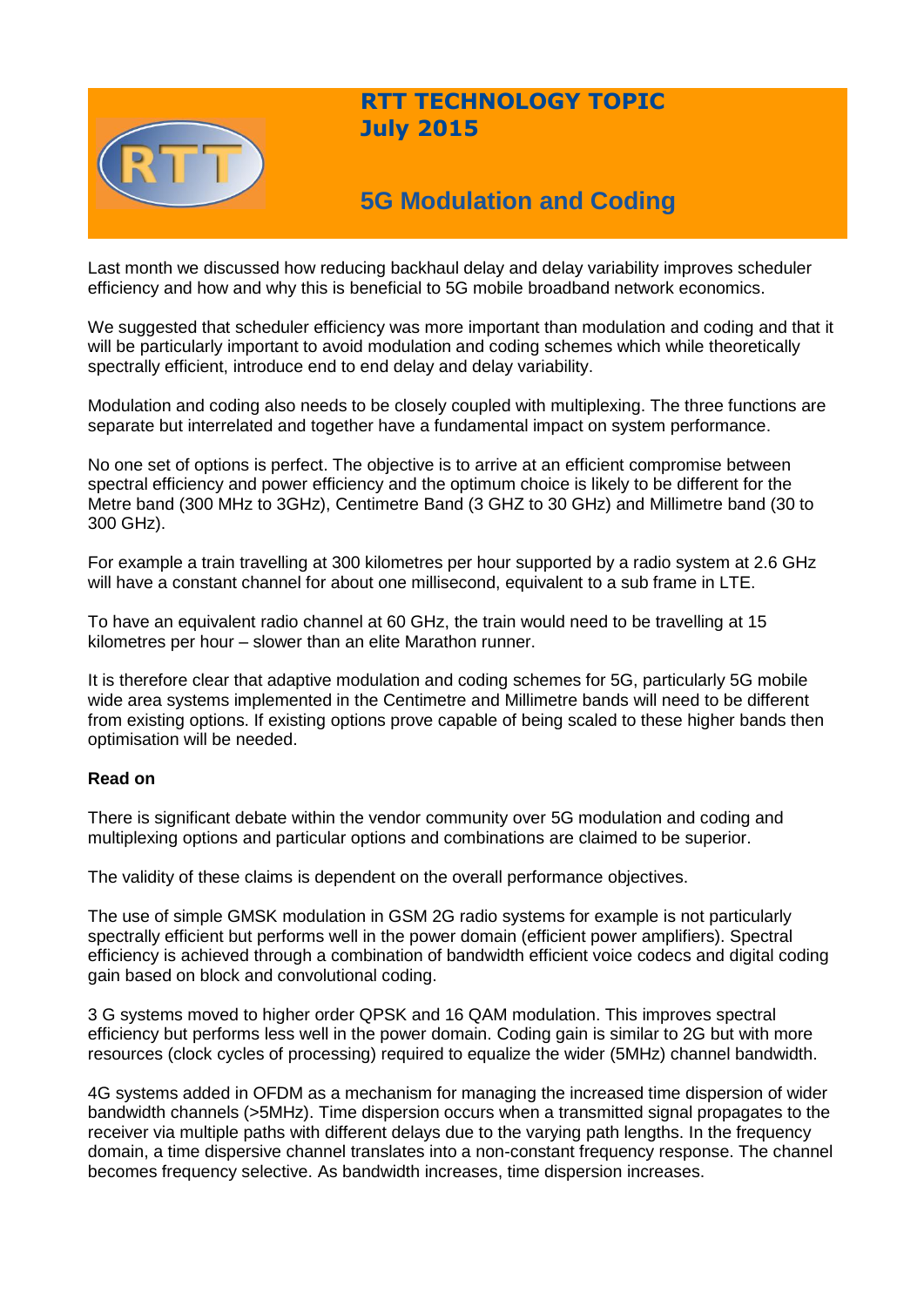

# **RTT TECHNOLOGY TOPIC July 2015**

# **5G Modulation and Coding**

Last month we discussed how reducing backhaul delay and delay variability improves scheduler efficiency and how and why this is beneficial to 5G mobile broadband network economics.

We suggested that scheduler efficiency was more important than modulation and coding and that it will be particularly important to avoid modulation and coding schemes which while theoretically spectrally efficient, introduce end to end delay and delay variability.

Modulation and coding also needs to be closely coupled with multiplexing. The three functions are separate but interrelated and together have a fundamental impact on system performance.

No one set of options is perfect. The objective is to arrive at an efficient compromise between spectral efficiency and power efficiency and the optimum choice is likely to be different for the Metre band (300 MHz to 3GHz), Centimetre Band (3 GHZ to 30 GHz) and Millimetre band (30 to 300 GHz).

For example a train travelling at 300 kilometres per hour supported by a radio system at 2.6 GHz will have a constant channel for about one millisecond, equivalent to a sub frame in LTE.

To have an equivalent radio channel at 60 GHz, the train would need to be travelling at 15 kilometres per hour – slower than an elite Marathon runner.

It is therefore clear that adaptive modulation and coding schemes for 5G, particularly 5G mobile wide area systems implemented in the Centimetre and Millimetre bands will need to be different from existing options. If existing options prove capable of being scaled to these higher bands then optimisation will be needed.

## **Read on**

There is significant debate within the vendor community over 5G modulation and coding and multiplexing options and particular options and combinations are claimed to be superior.

The validity of these claims is dependent on the overall performance objectives.

The use of simple GMSK modulation in GSM 2G radio systems for example is not particularly spectrally efficient but performs well in the power domain (efficient power amplifiers). Spectral efficiency is achieved through a combination of bandwidth efficient voice codecs and digital coding gain based on block and convolutional coding.

3 G systems moved to higher order QPSK and 16 QAM modulation. This improves spectral efficiency but performs less well in the power domain. Coding gain is similar to 2G but with more resources (clock cycles of processing) required to equalize the wider (5MHz) channel bandwidth.

4G systems added in OFDM as a mechanism for managing the increased time dispersion of wider bandwidth channels (>5MHz). Time dispersion occurs when a transmitted signal propagates to the receiver via multiple paths with different delays due to the varying path lengths. In the frequency domain, a time dispersive channel translates into a non-constant frequency response. The channel becomes frequency selective. As bandwidth increases, time dispersion increases.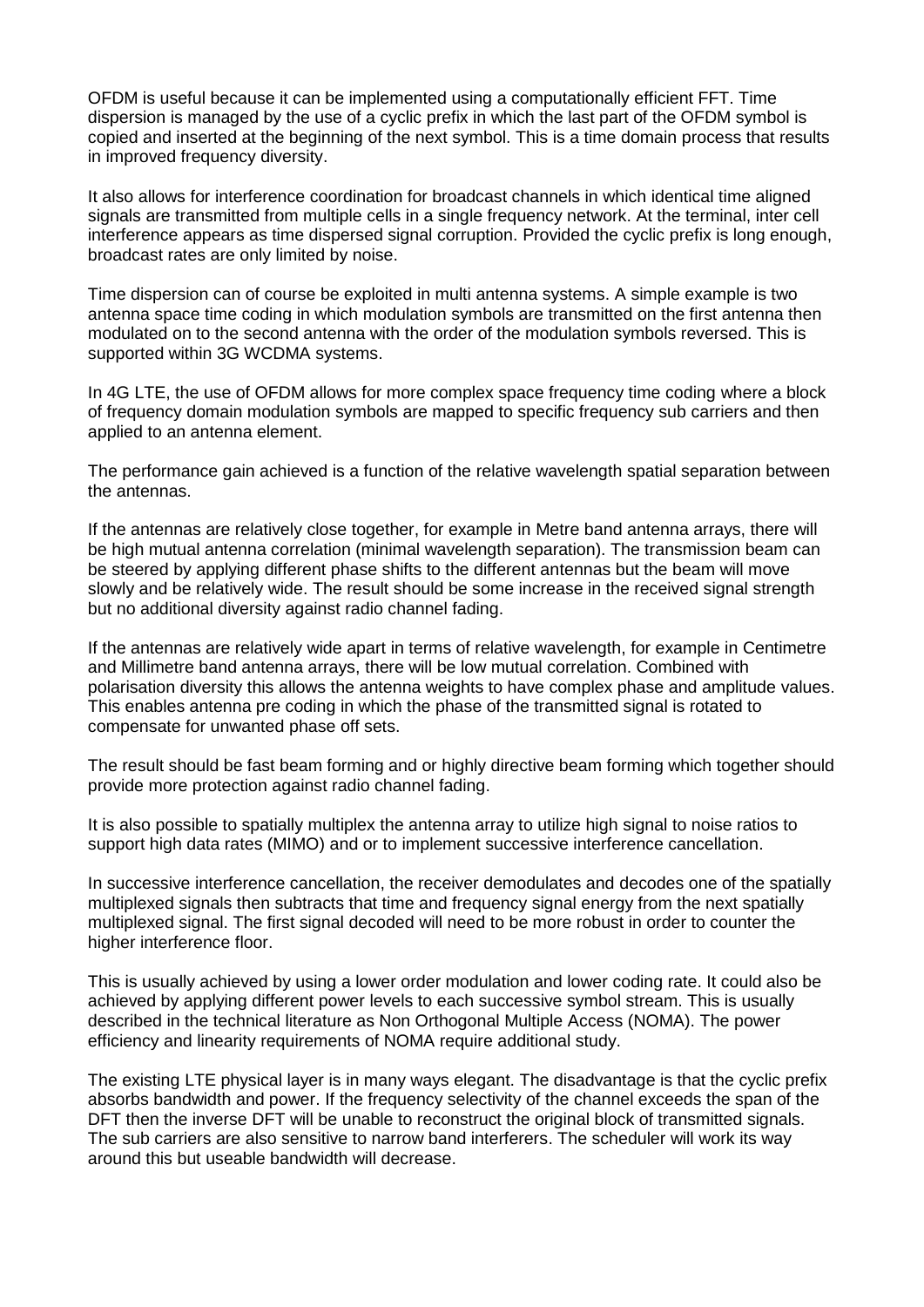OFDM is useful because it can be implemented using a computationally efficient FFT. Time dispersion is managed by the use of a cyclic prefix in which the last part of the OFDM symbol is copied and inserted at the beginning of the next symbol. This is a time domain process that results in improved frequency diversity.

It also allows for interference coordination for broadcast channels in which identical time aligned signals are transmitted from multiple cells in a single frequency network. At the terminal, inter cell interference appears as time dispersed signal corruption. Provided the cyclic prefix is long enough, broadcast rates are only limited by noise.

Time dispersion can of course be exploited in multi antenna systems. A simple example is two antenna space time coding in which modulation symbols are transmitted on the first antenna then modulated on to the second antenna with the order of the modulation symbols reversed. This is supported within 3G WCDMA systems.

In 4G LTE, the use of OFDM allows for more complex space frequency time coding where a block of frequency domain modulation symbols are mapped to specific frequency sub carriers and then applied to an antenna element.

The performance gain achieved is a function of the relative wavelength spatial separation between the antennas.

If the antennas are relatively close together, for example in Metre band antenna arrays, there will be high mutual antenna correlation (minimal wavelength separation). The transmission beam can be steered by applying different phase shifts to the different antennas but the beam will move slowly and be relatively wide. The result should be some increase in the received signal strength but no additional diversity against radio channel fading.

If the antennas are relatively wide apart in terms of relative wavelength, for example in Centimetre and Millimetre band antenna arrays, there will be low mutual correlation. Combined with polarisation diversity this allows the antenna weights to have complex phase and amplitude values. This enables antenna pre coding in which the phase of the transmitted signal is rotated to compensate for unwanted phase off sets.

The result should be fast beam forming and or highly directive beam forming which together should provide more protection against radio channel fading.

It is also possible to spatially multiplex the antenna array to utilize high signal to noise ratios to support high data rates (MIMO) and or to implement successive interference cancellation.

In successive interference cancellation, the receiver demodulates and decodes one of the spatially multiplexed signals then subtracts that time and frequency signal energy from the next spatially multiplexed signal. The first signal decoded will need to be more robust in order to counter the higher interference floor.

This is usually achieved by using a lower order modulation and lower coding rate. It could also be achieved by applying different power levels to each successive symbol stream. This is usually described in the technical literature as Non Orthogonal Multiple Access (NOMA). The power efficiency and linearity requirements of NOMA require additional study.

The existing LTE physical layer is in many ways elegant. The disadvantage is that the cyclic prefix absorbs bandwidth and power. If the frequency selectivity of the channel exceeds the span of the DFT then the inverse DFT will be unable to reconstruct the original block of transmitted signals. The sub carriers are also sensitive to narrow band interferers. The scheduler will work its way around this but useable bandwidth will decrease.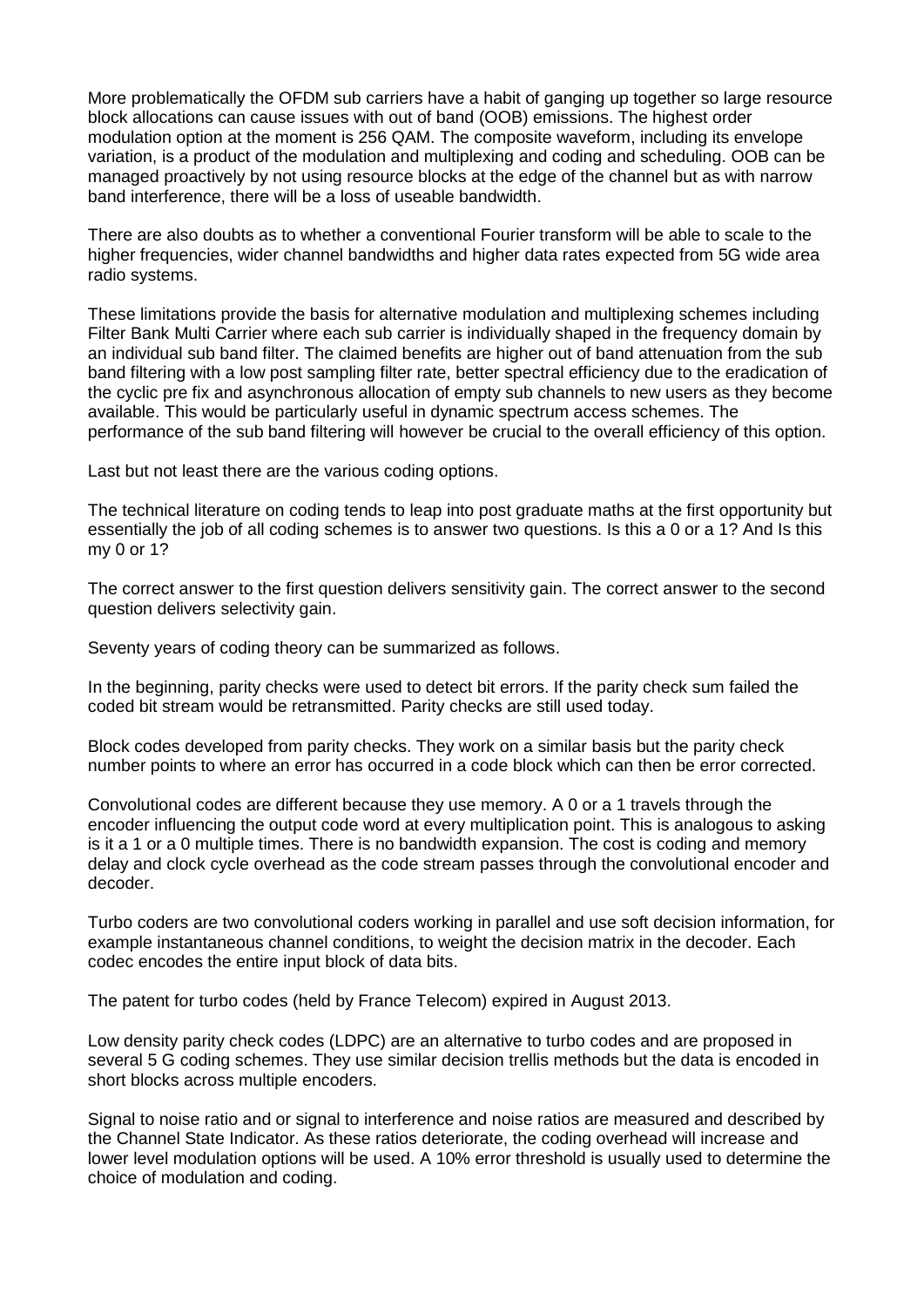More problematically the OFDM sub carriers have a habit of ganging up together so large resource block allocations can cause issues with out of band (OOB) emissions. The highest order modulation option at the moment is 256 QAM. The composite waveform, including its envelope variation, is a product of the modulation and multiplexing and coding and scheduling. OOB can be managed proactively by not using resource blocks at the edge of the channel but as with narrow band interference, there will be a loss of useable bandwidth.

There are also doubts as to whether a conventional Fourier transform will be able to scale to the higher frequencies, wider channel bandwidths and higher data rates expected from 5G wide area radio systems.

These limitations provide the basis for alternative modulation and multiplexing schemes including Filter Bank Multi Carrier where each sub carrier is individually shaped in the frequency domain by an individual sub band filter. The claimed benefits are higher out of band attenuation from the sub band filtering with a low post sampling filter rate, better spectral efficiency due to the eradication of the cyclic pre fix and asynchronous allocation of empty sub channels to new users as they become available. This would be particularly useful in dynamic spectrum access schemes. The performance of the sub band filtering will however be crucial to the overall efficiency of this option.

Last but not least there are the various coding options.

The technical literature on coding tends to leap into post graduate maths at the first opportunity but essentially the job of all coding schemes is to answer two questions. Is this a 0 or a 1? And Is this my 0 or 1?

The correct answer to the first question delivers sensitivity gain. The correct answer to the second question delivers selectivity gain.

Seventy years of coding theory can be summarized as follows.

In the beginning, parity checks were used to detect bit errors. If the parity check sum failed the coded bit stream would be retransmitted. Parity checks are still used today.

Block codes developed from parity checks. They work on a similar basis but the parity check number points to where an error has occurred in a code block which can then be error corrected.

Convolutional codes are different because they use memory. A 0 or a 1 travels through the encoder influencing the output code word at every multiplication point. This is analogous to asking is it a 1 or a 0 multiple times. There is no bandwidth expansion. The cost is coding and memory delay and clock cycle overhead as the code stream passes through the convolutional encoder and decoder.

Turbo coders are two convolutional coders working in parallel and use soft decision information, for example instantaneous channel conditions, to weight the decision matrix in the decoder. Each codec encodes the entire input block of data bits.

The patent for turbo codes (held by France Telecom) expired in August 2013.

Low density parity check codes (LDPC) are an alternative to turbo codes and are proposed in several 5 G coding schemes. They use similar decision trellis methods but the data is encoded in short blocks across multiple encoders.

Signal to noise ratio and or signal to interference and noise ratios are measured and described by the Channel State Indicator. As these ratios deteriorate, the coding overhead will increase and lower level modulation options will be used. A 10% error threshold is usually used to determine the choice of modulation and coding.